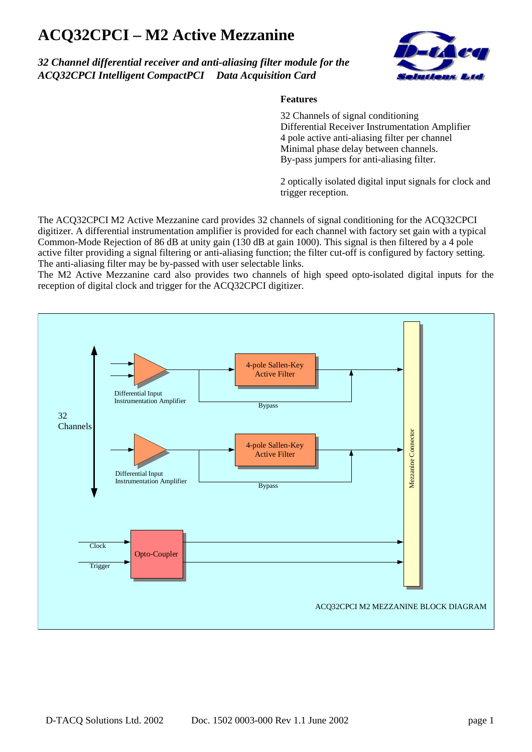## **ACQ32CPCI – M2 Active Mezzanine**

## *32 Channel differential receiver and anti-aliasing filter module for the ACQ32CPCI Intelligent CompactPCI Data Acquisition Card*



## **Features**

32 Channels of signal conditioning Differential Receiver Instrumentation Amplifier 4 pole active anti-aliasing filter per channel Minimal phase delay between channels. By-pass jumpers for anti-aliasing filter.

2 optically isolated digital input signals for clock and trigger reception.

The ACQ32CPCI M2 Active Mezzanine card provides 32 channels of signal conditioning for the ACQ32CPCI digitizer. A differential instrumentation amplifier is provided for each channel with factory set gain with a typical Common-Mode Rejection of 86 dB at unity gain (130 dB at gain 1000). This signal is then filtered by a 4 pole active filter providing a signal filtering or anti-aliasing function; the filter cut-off is configured by factory setting. The anti-aliasing filter may be by-passed with user selectable links.

The M2 Active Mezzanine card also provides two channels of high speed opto-isolated digital inputs for the reception of digital clock and trigger for the ACQ32CPCI digitizer.